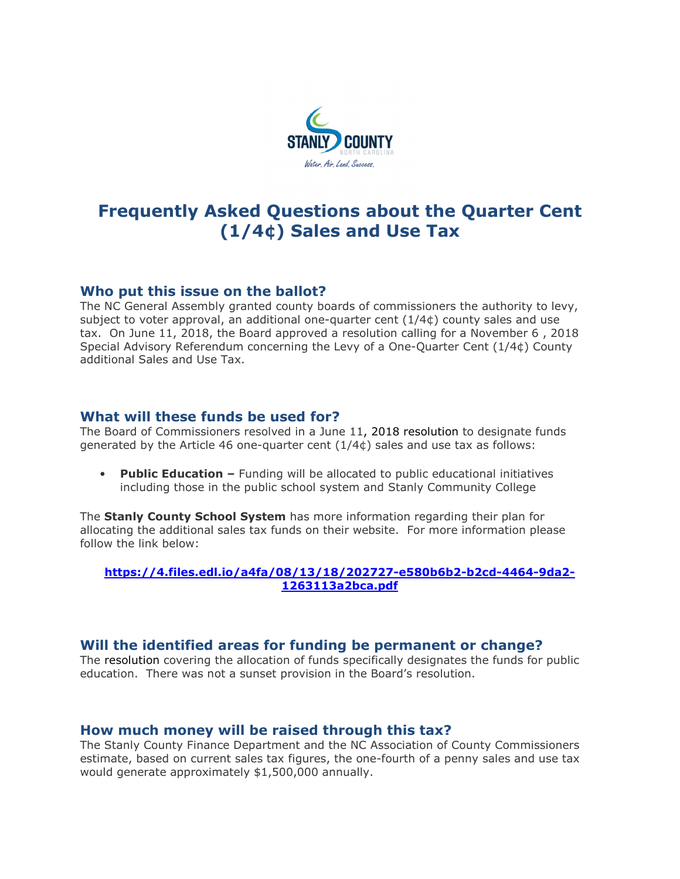

# Frequently Asked Questions about the Quarter Cent (1/4¢) Sales and Use Tax

### Who put this issue on the ballot?

The NC General Assembly granted county boards of commissioners the authority to levy, subject to voter approval, an additional one-quarter cent  $(1/4¢)$  county sales and use tax. On June 11, 2018, the Board approved a resolution calling for a November 6 , 2018 Special Advisory Referendum concerning the Levy of a One-Quarter Cent (1/4¢) County additional Sales and Use Tax.

## What will these funds be used for?

The Board of Commissioners resolved in a June 11, 2018 resolution to designate funds generated by the Article 46 one-quarter cent (1/4¢) sales and use tax as follows:

• Public Education – Funding will be allocated to public educational initiatives including those in the public school system and Stanly Community College

The **Stanly County School System** has more information regarding their plan for allocating the additional sales tax funds on their website. For more information please follow the link below:

#### https://4.files.edl.io/a4fa/08/13/18/202727-e580b6b2-b2cd-4464-9da2- 1263113a2bca.pdf

## Will the identified areas for funding be permanent or change?

The resolution covering the allocation of funds specifically designates the funds for public education. There was not a sunset provision in the Board's resolution.

### How much money will be raised through this tax?

The Stanly County Finance Department and the NC Association of County Commissioners estimate, based on current sales tax figures, the one-fourth of a penny sales and use tax would generate approximately \$1,500,000 annually.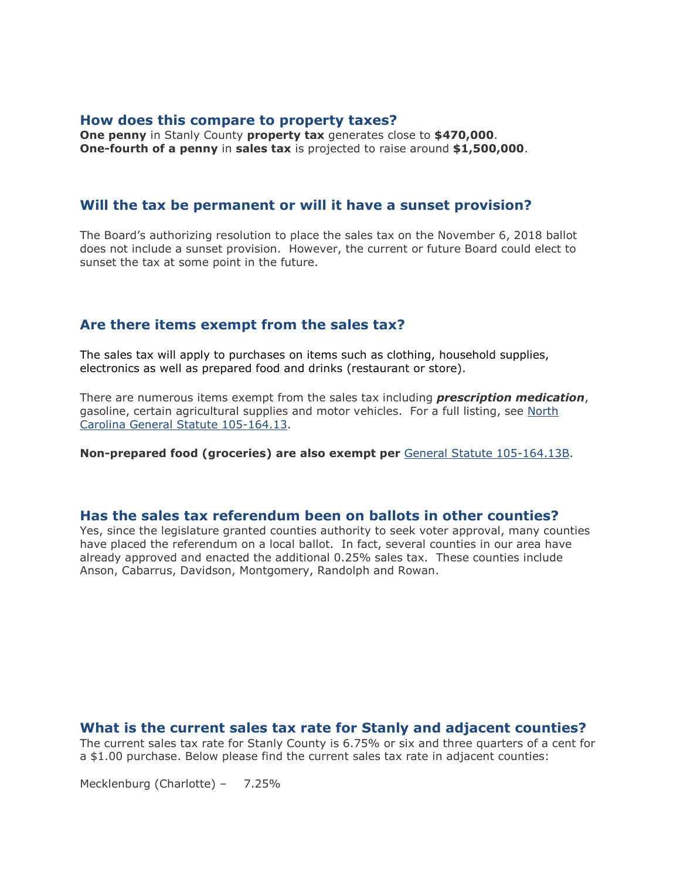### How does this compare to property taxes?

One penny in Stanly County property tax generates close to \$470,000. One-fourth of a penny in sales tax is projected to raise around \$1,500,000.

### Will the tax be permanent or will it have a sunset provision?

The Board's authorizing resolution to place the sales tax on the November 6, 2018 ballot does not include a sunset provision. However, the current or future Board could elect to sunset the tax at some point in the future.

# Are there items exempt from the sales tax?

The sales tax will apply to purchases on items such as clothing, household supplies, electronics as well as prepared food and drinks (restaurant or store).

There are numerous items exempt from the sales tax including *prescription medication*, gasoline, certain agricultural supplies and motor vehicles. For a full listing, see North Carolina General Statute 105-164.13.

Non-prepared food (groceries) are also exempt per General Statute 105-164.13B.

#### Has the sales tax referendum been on ballots in other counties?

Yes, since the legislature granted counties authority to seek voter approval, many counties have placed the referendum on a local ballot. In fact, several counties in our area have already approved and enacted the additional 0.25% sales tax. These counties include Anson, Cabarrus, Davidson, Montgomery, Randolph and Rowan.

#### What is the current sales tax rate for Stanly and adjacent counties?

The current sales tax rate for Stanly County is 6.75% or six and three quarters of a cent for a \$1.00 purchase. Below please find the current sales tax rate in adjacent counties:

Mecklenburg (Charlotte) - 7.25%